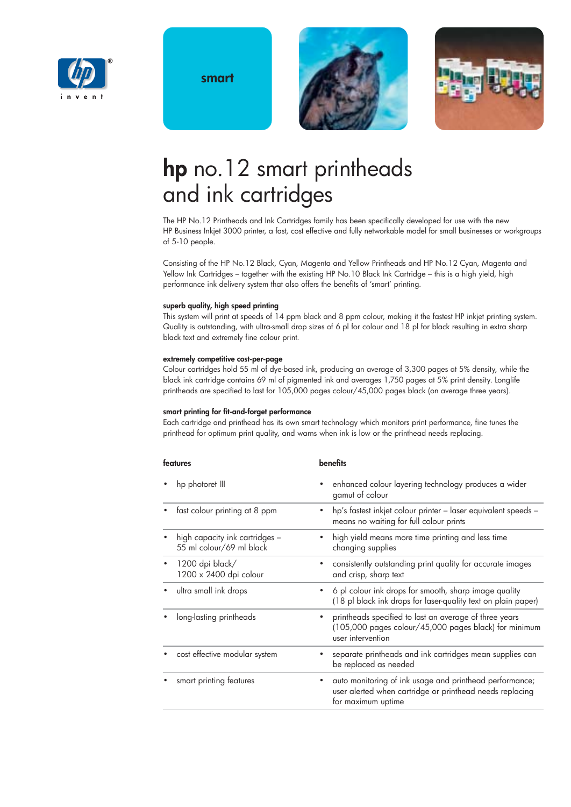

**smart**





# **hp** no.12 smart printheads and ink cartridges

The HP No.12 Printheads and Ink Cartridges family has been specifically developed for use with the new HP Business Inkjet 3000 printer, a fast, cost effective and fully networkable model for small businesses or workgroups of 5-10 people.

Consisting of the HP No.12 Black, Cyan, Magenta and Yellow Printheads and HP No.12 Cyan, Magenta and Yellow Ink Cartridges – together with the existing HP No.10 Black Ink Cartridge – this is a high yield, high performance ink delivery system that also offers the benefits of 'smart' printing.

### **superb quality, high speed printing**

This system will print at speeds of 14 ppm black and 8 ppm colour, making it the fastest HP inkjet printing system. Quality is outstanding, with ultra-small drop sizes of 6 pl for colour and 18 pl for black resulting in extra sharp black text and extremely fine colour print.

### **extremely competitive cost-per-page**

Colour cartridges hold 55 ml of dye-based ink, producing an average of 3,300 pages at 5% density, while the black ink cartridge contains 69 ml of pigmented ink and averages 1,750 pages at 5% print density. Longlife printheads are specified to last for 105,000 pages colour/45,000 pages black (on average three years).

### **smart printing for fit-and-forget performance**

Each cartridge and printhead has its own smart technology which monitors print performance, fine tunes the printhead for optimum print quality, and warns when ink is low or the printhead needs replacing.

| features                                                   | <b>benefits</b>                                                                                                                                                                      |  |  |
|------------------------------------------------------------|--------------------------------------------------------------------------------------------------------------------------------------------------------------------------------------|--|--|
| hp photoret III<br>$\bullet$                               | enhanced colour layering technology produces a wider<br>gamut of colour<br>hp's fastest inkjet colour printer - laser equivalent speeds -<br>means no waiting for full colour prints |  |  |
| fast colour printing at 8 ppm                              |                                                                                                                                                                                      |  |  |
| high capacity ink cartridges -<br>55 ml colour/69 ml black | high yield means more time printing and less time<br>changing supplies                                                                                                               |  |  |
| 1200 dpi black/<br>1200 x 2400 dpi colour                  | consistently outstanding print quality for accurate images<br>and crisp, sharp text                                                                                                  |  |  |
| ultra small ink drops                                      | 6 pl colour ink drops for smooth, sharp image quality<br>(18 pl black ink drops for laser-quality text on plain paper)                                                               |  |  |
| long-lasting printheads                                    | printheads specified to last an average of three years<br>٠<br>(105,000 pages colour/45,000 pages black) for minimum<br>user intervention                                            |  |  |
| cost effective modular system                              | separate printheads and ink cartridges mean supplies can<br>be replaced as needed                                                                                                    |  |  |
| smart printing features                                    | auto monitoring of ink usage and printhead performance;<br>user alerted when cartridge or printhead needs replacing<br>for maximum uptime                                            |  |  |
|                                                            |                                                                                                                                                                                      |  |  |